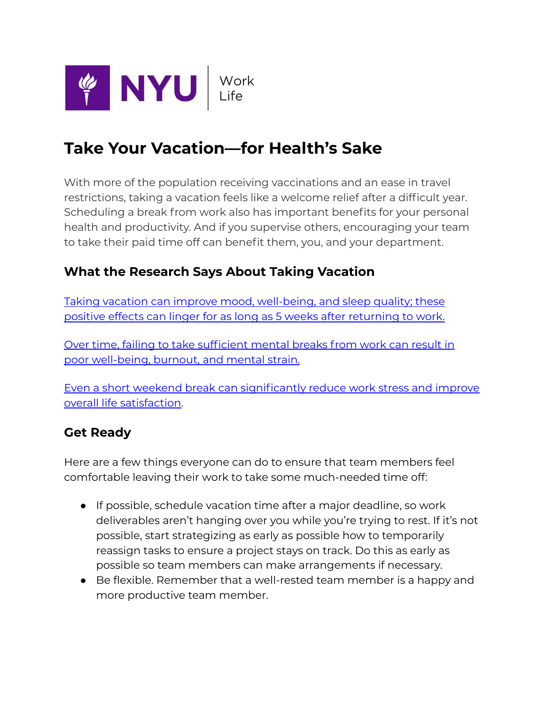

## **Take Your Vacation—for Health's Sake**

With more of the population receiving vaccinations and an ease in travel restrictions, taking a vacation feels like a welcome relief after a difficult year. Scheduling a break from work also has important benefits for your personal health and productivity. And if you supervise others, encouraging your team to take their paid time off can benefit them, you, and your department.

## **What the Research Says About Taking Vacation**

Taking vacation can improve mood, [well-being,](http://web.b.ebscohost.com/ehost/pdfviewer/pdfviewer?vid=1&sid=191bda3f-26bd-4002-b4c4-5ed365dd449e%40sessionmgr101) and sleep quality; these positive effects can linger for as long as 5 weeks after [returning](http://web.b.ebscohost.com/ehost/pdfviewer/pdfviewer?vid=1&sid=191bda3f-26bd-4002-b4c4-5ed365dd449e%40sessionmgr101) to work.

Over time, failing to take [sufficient](https://onlinelibrary.wiley.com/doi/epdf/10.1002/job.1924) mental breaks from work can result in poor [well-being,](https://onlinelibrary.wiley.com/doi/epdf/10.1002/job.1924) burnout, and mental strain.

Even a short weekend break [can significantly](https://journals.sagepub.com/doi/10.1177/0047287514546223) reduce work stress and improve overall life [satisfaction.](https://journals.sagepub.com/doi/10.1177/0047287514546223)

## **Get Ready**

Here are a few things everyone can do to ensure that team members feel comfortable leaving their work to take some much-needed time off:

- If possible, schedule vacation time after a major deadline, so work deliverables aren't hanging over you while you're trying to rest. If it's not possible, start strategizing as early as possible how to temporarily reassign tasks to ensure a project stays on track. Do this as early as possible so team members can make arrangements if necessary.
- Be flexible. Remember that a well-rested team member is a happy and more productive team member.